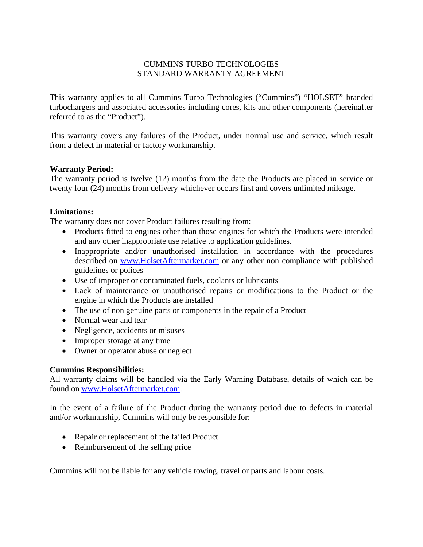# CUMMINS TURBO TECHNOLOGIES STANDARD WARRANTY AGREEMENT

This warranty applies to all Cummins Turbo Technologies ("Cummins") "HOLSET" branded turbochargers and associated accessories including cores, kits and other components (hereinafter referred to as the "Product").

This warranty covers any failures of the Product, under normal use and service, which result from a defect in material or factory workmanship.

# **Warranty Period:**

The warranty period is twelve (12) months from the date the Products are placed in service or twenty four (24) months from delivery whichever occurs first and covers unlimited mileage.

# **Limitations:**

The warranty does not cover Product failures resulting from:

- Products fitted to engines other than those engines for which the Products were intended and any other inappropriate use relative to application guidelines.
- Inappropriate and/or unauthorised installation in accordance with the procedures described on www.HolsetAftermarket.com or any other non compliance with published guidelines or polices
- Use of improper or contaminated fuels, coolants or lubricants
- Lack of maintenance or unauthorised repairs or modifications to the Product or the engine in which the Products are installed
- The use of non genuine parts or components in the repair of a Product
- Normal wear and tear
- Negligence, accidents or misuses
- Improper storage at any time
- Owner or operator abuse or neglect

### **Cummins Responsibilities:**

All warranty claims will be handled via the Early Warning Database, details of which can be found on www.HolsetAftermarket.com.

In the event of a failure of the Product during the warranty period due to defects in material and/or workmanship, Cummins will only be responsible for:

- Repair or replacement of the failed Product
- Reimbursement of the selling price

Cummins will not be liable for any vehicle towing, travel or parts and labour costs.